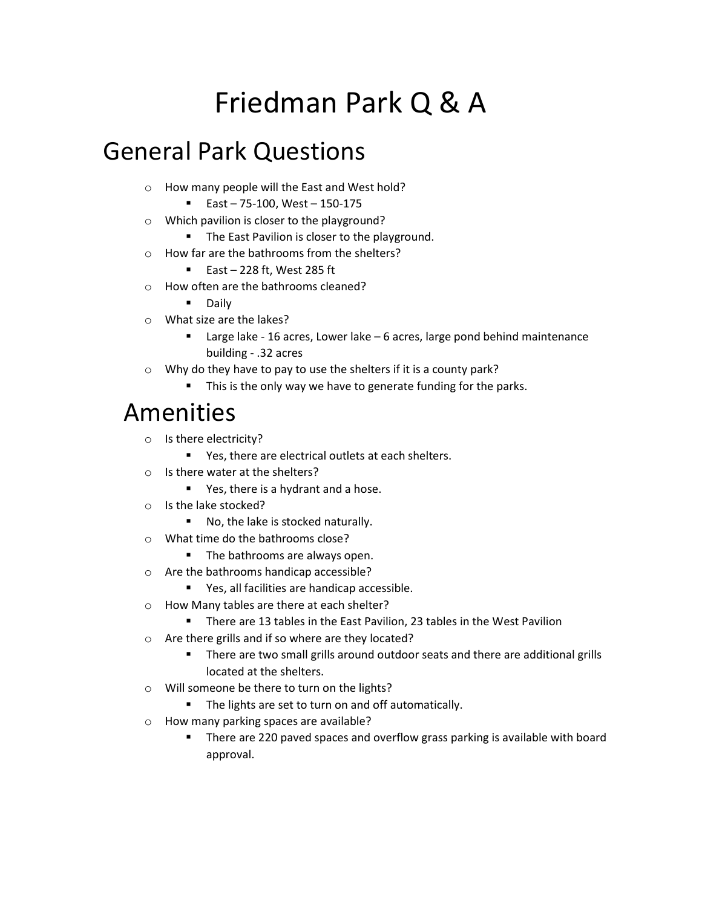# Friedman Park Q & A

# General Park Questions

- o How many people will the East and West hold?
	- $\blacksquare$  East 75-100, West 150-175
- o Which pavilion is closer to the playground?
	- The East Pavilion is closer to the playground.
- o How far are the bathrooms from the shelters?
	- East 228 ft, West 285 ft
- o How often are the bathrooms cleaned?
	- **Daily**
- o What size are the lakes?
	- Large lake 16 acres, Lower lake 6 acres, large pond behind maintenance building - .32 acres
- o Why do they have to pay to use the shelters if it is a county park?
	- This is the only way we have to generate funding for the parks.

#### Amenities

- o Is there electricity?
	- Yes, there are electrical outlets at each shelters.
- o Is there water at the shelters?
	- **Parth** Yes, there is a hydrant and a hose.
- o Is the lake stocked?
	- No, the lake is stocked naturally.
- o What time do the bathrooms close?
	- The bathrooms are always open.
- o Are the bathrooms handicap accessible?
	- Yes, all facilities are handicap accessible.
- o How Many tables are there at each shelter?
	- There are 13 tables in the East Pavilion, 23 tables in the West Pavilion
- o Are there grills and if so where are they located?
	- **There are two small grills around outdoor seats and there are additional grills** located at the shelters.
- o Will someone be there to turn on the lights?
	- The lights are set to turn on and off automatically.
- o How many parking spaces are available?
	- **There are 220 paved spaces and overflow grass parking is available with board** approval.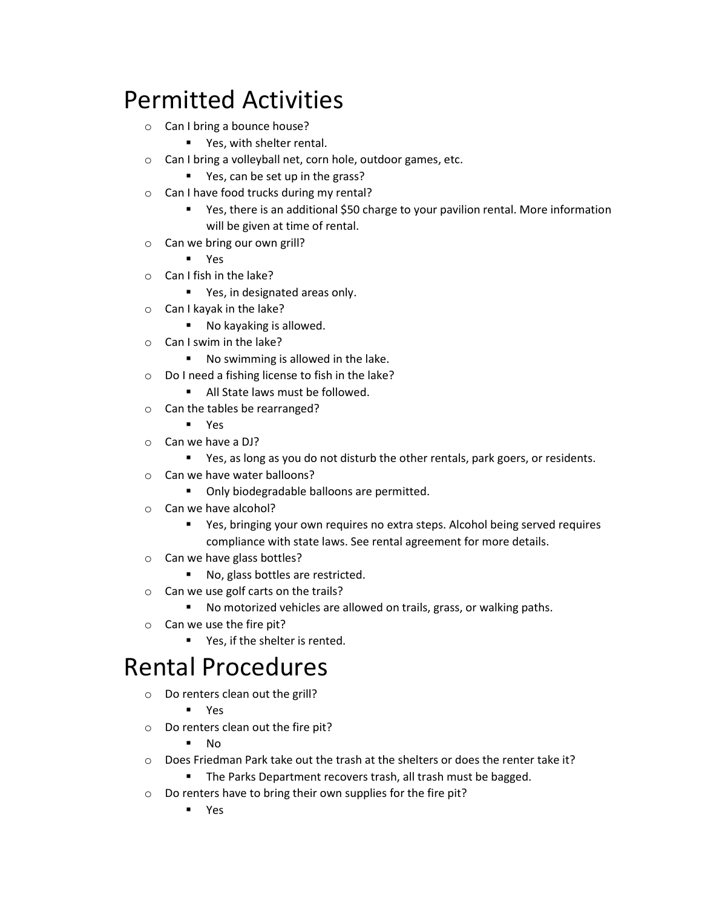# Permitted Activities

- o Can I bring a bounce house?
	- **Parish** Yes, with shelter rental.
- o Can I bring a volleyball net, corn hole, outdoor games, etc.
	- Yes, can be set up in the grass?
- o Can I have food trucks during my rental?
	- Yes, there is an additional \$50 charge to your pavilion rental. More information will be given at time of rental.
- o Can we bring our own grill?
	- Yes
- o Can I fish in the lake?
	- Yes, in designated areas only.
- o Can I kayak in the lake?
	- No kayaking is allowed.
- o Can I swim in the lake?
	- No swimming is allowed in the lake.
- o Do I need a fishing license to fish in the lake?
	- All State laws must be followed.
- o Can the tables be rearranged?
	- Yes
- o Can we have a DJ?
	- **P** Yes, as long as you do not disturb the other rentals, park goers, or residents.
- o Can we have water balloons?
	- **•** Only biodegradable balloons are permitted.
- o Can we have alcohol?
	- Yes, bringing your own requires no extra steps. Alcohol being served requires compliance with state laws. See rental agreement for more details.
- o Can we have glass bottles?
	- No, glass bottles are restricted.
- o Can we use golf carts on the trails?
	- No motorized vehicles are allowed on trails, grass, or walking paths.
- o Can we use the fire pit?
	- Yes, if the shelter is rented.

#### Rental Procedures

o Do renters clean out the grill?

Yes

- o Do renters clean out the fire pit?
	- $N<sub>0</sub>$
- $\circ$  Does Friedman Park take out the trash at the shelters or does the renter take it?
	- **The Parks Department recovers trash, all trash must be bagged.**
- o Do renters have to bring their own supplies for the fire pit?
	- Yes